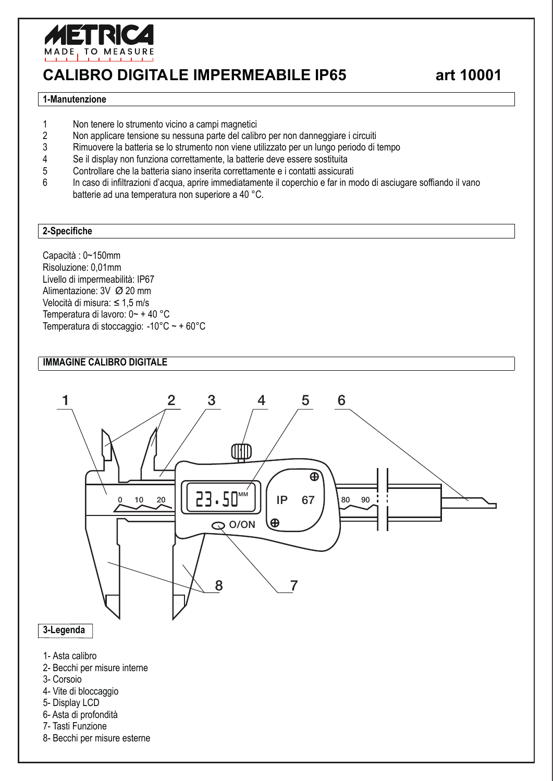

# **CALIBRO DIGITALE IMPERMEABILE IP65 art 10001**

#### **1-Manutenzione**

- 1 Non tenere lo strumento vicino a campi magnetici<br>2 Non applicare tensione su nessuna parte del calib
- 2 Non applicare tensione su nessuna parte del calibro per non danneggiare i circuiti
- 3 Rimuovere la batteria se lo strumento non viene utilizzato per un lungo periodo di tempo
- 4 Se il display non funziona correttamente, la batterie deve essere sostituita
- 5 Controllare che la batteria siano inserita correttamente e i contatti assicurati<br>6 lo caso di infiltrazioni d'acquia angie immediatamente il conerchio e far in m
- 6 In caso di infiltrazioni d'acqua, aprire immediatamente il coperchio e far in modo di asciugare soffiando il vano batterie ad una temperatura non superiore a 40 °C.

#### **2-Specifiche**

Capacità : 0~150mm Risoluzione: 0,01mm Livello di impermeabilità: IP67 Alimentazione: 3V Ø 20 mm Velocità di misura:  $\leq 1.5$  m/s Temperatura di lavoro: 0~ + 40 °C Temperatura di stoccaggio: -10°C ~ + 60°C

#### **IMMAGINE CALIBRO DIGITALE**



1- Asta calibro

- 2- Becchi per misure interne
- 3- Corsoio
- 4- Vite di bloccaggio
- 5- Display LCD
- 6- Asta di profondità
- 7- Tasti Funzione
- 8- Becchi per misure esterne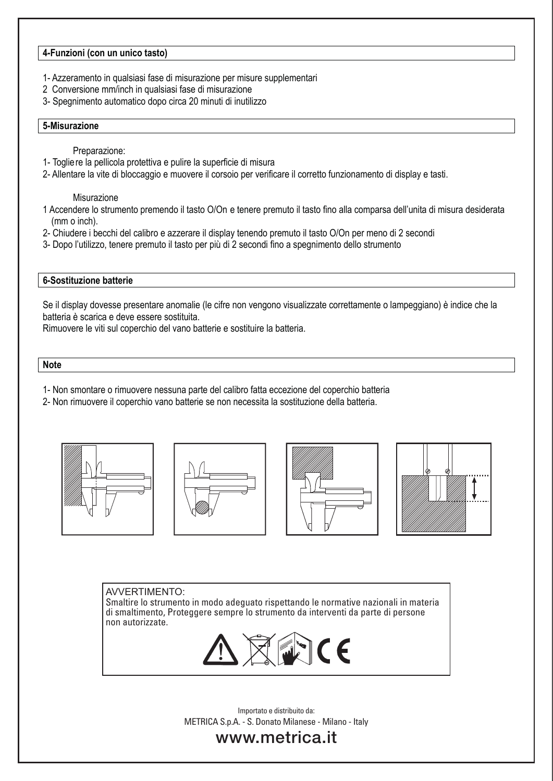#### **4-Funzioni (con un unico tasto)**

- 1- Azzeramento in qualsiasi fase di misurazione per misure supplementari
- 2 Conversione mm/inch in qualsiasi fase di misurazione
- 3- Spegnimento automatico dopo circa 20 minuti di inutilizzo

#### **5-Misurazione**

Preparazione:

- 1- Togliere la pellicola protettiva e pulire la superficie di misura
- 2- Allentare la vite di bloccaggio e muovere il corsoio per verificare il corretto funzionamento di display e tasti.

Misurazione

- 1 Accendere lo strumento premendo il tasto O/On e tenere premuto il tasto fino alla comparsa dell'unita di misura desiderata (mm o inch).
- 2- Chiudere i becchi del calibro e azzerare il display tenendo premuto il tasto O/On per meno di 2 secondi
- 3- Dopo l'utilizzo, tenere premuto il tasto per più di 2 secondi fino a spegnimento dello strumento

#### **6-Sostituzione batterie**

Se il display dovesse presentare anomalie (le cifre non vengono visualizzate correttamente o lampeggiano) è indice che la batteria è scarica e deve essere sostituita.

Rimuovere le viti sul coperchio del vano batterie e sostituire la batteria.

#### **Note**

- 1- Non smontare o rimuovere nessuna parte del calibro fatta eccezione del coperchio batteria
- 2- Non rimuovere il coperchio vano batterie se non necessita la sostituzione della batteria.









AVVERTIMENTO: Smaltire lo strumento in modo adeguato rispettando le normative nazionali in materia di smaltimento, Proteggere sempre lo strumento da interventi da parte di persone non autorizzate.



METRICA S.p.A. - S. Donato Milanese - Milano - Italy Importato e distribuito da:

## www.metrica.it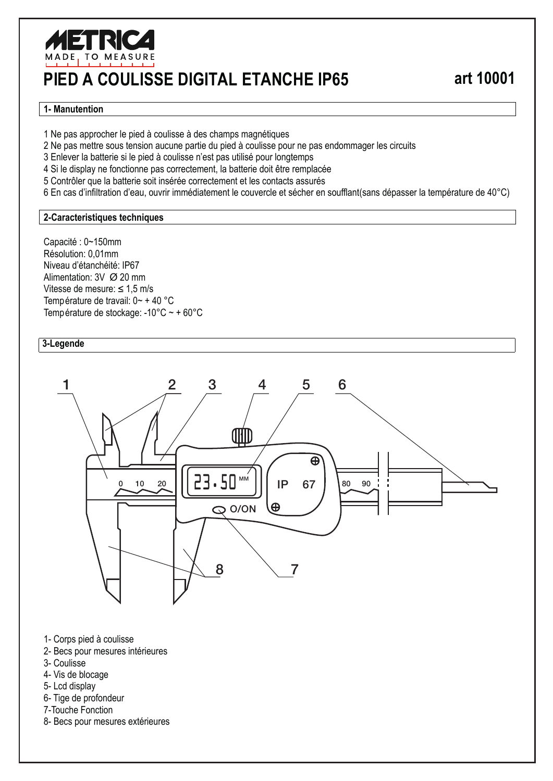

# **PIED A COULISSE DIGITAL ETANCHE IP65 art 10001**

#### **1- Manutention**

1 Ne pas approcher le pied à coulisse à des champs magnétiques

2 Ne pas mettre sous tension aucune partie du pied à coulisse pour ne pas endommager les circuits

3 Enlever la batterie si le pied à coulisse n'est pas utilisé pour longtemps

4 Si le display ne fonctionne pas correctement, la batterie doit être remplacée

5 Contrôler que la batterie soit insérée correctement et les contacts assurés

6 En cas d'infiltration d'eau, ouvrir immédiatement le couvercle et sécher en soufflant(sans dépasser la température de 40°C)

#### **2-Caracteristiques techniques**

Capacité : 0~150mm Résolution: 0,01mm Niveau d'étanchéité: IP67 Alimentation: 3V Ø 20 mm Vitesse de mesure:  $\leq 1.5$  m/s Température de travail: 0~ + 40 °C Température de stockage: -10°C ~ + 60°C

#### **3-Legende**



- 1- Corps pied à coulisse
- 2- Becs pour mesures intérieures
- 3- Coulisse
- 4- Vis de blocage
- 5- Lcd display
- 6- Tige de profondeur
- 7-Touche Fonction
- 8- Becs pour mesures extérieures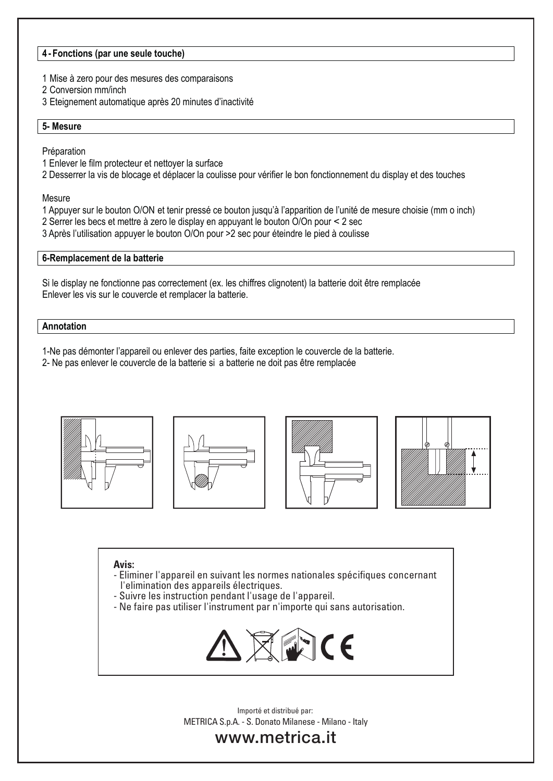#### **4 - Fonctions (par une seule touche)**

- 1 Mise à zero pour des mesures des comparaisons
- 2 Conversion mm/inch
- 3 Eteignement automatique après 20 minutes d'inactivité

#### **5- Mesure**

Préparation

- 1 Enlever le film protecteur et nettoyer la surface
- 2 Desserrer la vis de blocage et déplacer la coulisse pour vérifier le bon fonctionnement du display et des touches

**Mesure** 

- 1 Appuyer sur le bouton O/ON et tenir pressé ce bouton jusqu'à l'apparition de l'unité de mesure choisie (mm o inch)
- 2 Serrer les becs et mettre à zero le display en appuyant le bouton O/On pour < 2 sec
- 3 Après l'utilisation appuyer le bouton O/On pour >2 sec pour éteindre le pied à coulisse

#### **6-Remplacement de la batterie**

Si le display ne fonctionne pas correctement (ex. les chiffres clignotent) la batterie doit être remplacée Enlever les vis sur le couvercle et remplacer la batterie.

#### **Annotation**

1-Ne pas démonter l'appareil ou enlever des parties, faite exception le couvercle de la batterie.

2- Ne pas enlever le couvercle de la batterie si a batterie ne doit pas être remplacée









#### **Avis:**

- Eliminer l'appareil en suivant les normes nationales spécifiques concernant l'elimination des appareils électriques.
- Suivre les instruction pendant l'usage de l'appareil.
- Ne faire pas utiliser l'instrument par n'importe qui sans autorisation.



METRICA S.p.A. - S. Donato Milanese - Milano - Italy Importé et distribué par:

## www.metrica.it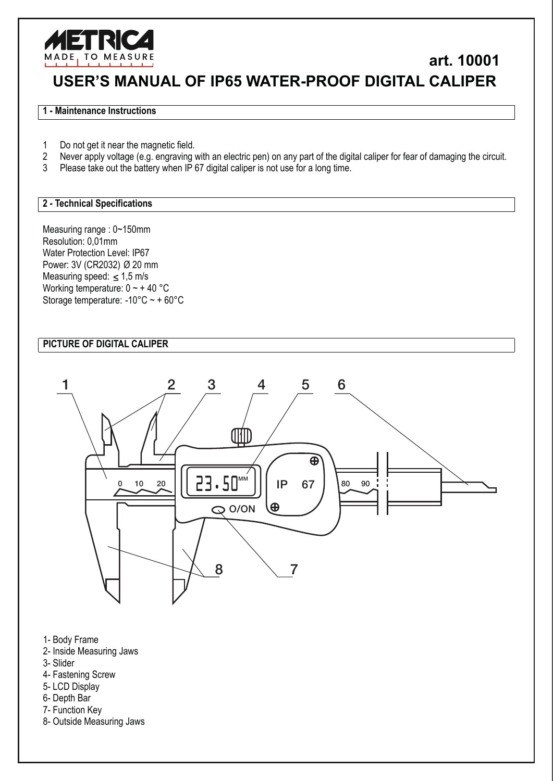

# **USER'S MANUAL OF IP65 WATER-PROOF DIGITAL CALIPER art. 10001**

#### **1 - Maintenance Instructions**

- 1 Do not get it near the magnetic field.
- 2 Never apply voltage (e.g. engraving with an electric pen) on any part of the digital caliper for fear of damaging the circuit.
- 3 Please take out the battery when IP 67 digital caliper is not use for a long time.

#### **2 - Technical Specifications**

Measuring range : 0~150mm Resolution: 0,01mm Water Protection Level: IP67 Power: 3V (CR2032) Ø 20 mm Measuring speed:  $\leq 1.5$  m/s Working temperature: 0 ~ + 40 °C Storage temperature: -10°C ~ + 60°C

## **PICTURE OF DIGITAL CALIPER**



- 1- Body Frame
- 2- Inside Measuring Jaws
- 3- Slider
- 4- Fastening Screw
- 5- LCD Display
- 6- Depth Bar
- 7- Function Key
- 8- Outside Measuring Jaws